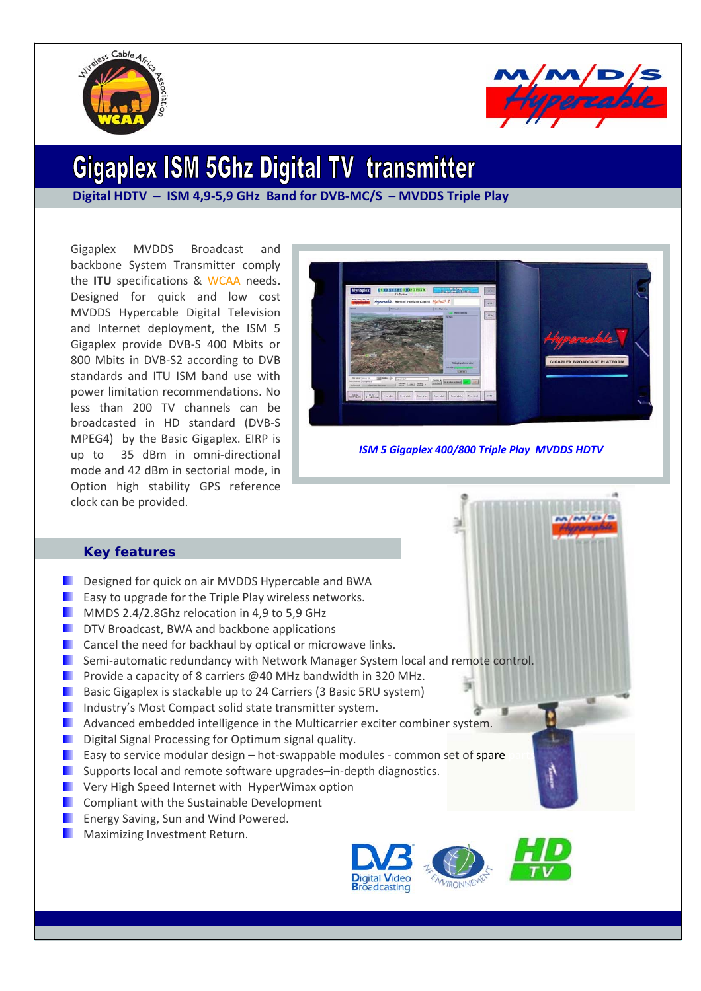



# **Gigaplex ISM 5Ghz Digital TV transmitter**

**Digital HDTV – ISM 4,9‐5,9 GHz Band for DVB‐MC/S – MVDDS Triple Play**

Gigaplex MVDDS Broadcast and backbone System Transmitter comply the **ITU** specifications & WCAA needs. Designed for quick and low cost MVDDS Hypercable Digital Television and Internet deployment, the ISM 5 Gigaplex provide DVB‐S 400 Mbits or 800 Mbits in DVB‐S2 according to DVB standards and ITU ISM band use with power limitation recommendations. No less than 200 TV channels can be broadcasted in HD standard (DVB‐S MPEG4) by the Basic Gigaplex. EIRP is up to 35 dBm in omni-directional mode and 42 dBm in sectorial mode, in Option high stability GPS reference clock can be provided.



*ISM 5 Gigaplex 400/800 Triple Play MVDDS HDTV*

# **Key features**

- Designed for quick on air MVDDS Hypercable and BWA
- Easy to upgrade for the Triple Play wireless networks.
- **MMDS 2.4/2.8Ghz relocation in 4.9 to 5.9 GHz**
- **DTV Broadcast, BWA and backbone applications**
- **Cancel the need for backhaul by optical or microwave links.**
- Semi‐automatic redundancy with Network Manager System local and remote control.
- **Provide a capacity of 8 carriers @40 MHz bandwidth in 320 MHz.**
- **Basic Gigaplex is stackable up to 24 Carriers (3 Basic 5RU system)**
- **I** Industry's Most Compact solid state transmitter system.
- **Advanced embedded intelligence in the Multicarrier exciter combiner system.**
- **Digital Signal Processing for Optimum signal quality.**
- **Easy to service modular design hot-swappable modules common set of spare**
- $\blacksquare$ Supports local and remote software upgrades–in‐depth diagnostics.
- **N** Very High Speed Internet with HyperWimax option
- Compliant with the Sustainable Development
- **Energy Saving, Sun and Wind Powered.**
- **Maximizing Investment Return.**



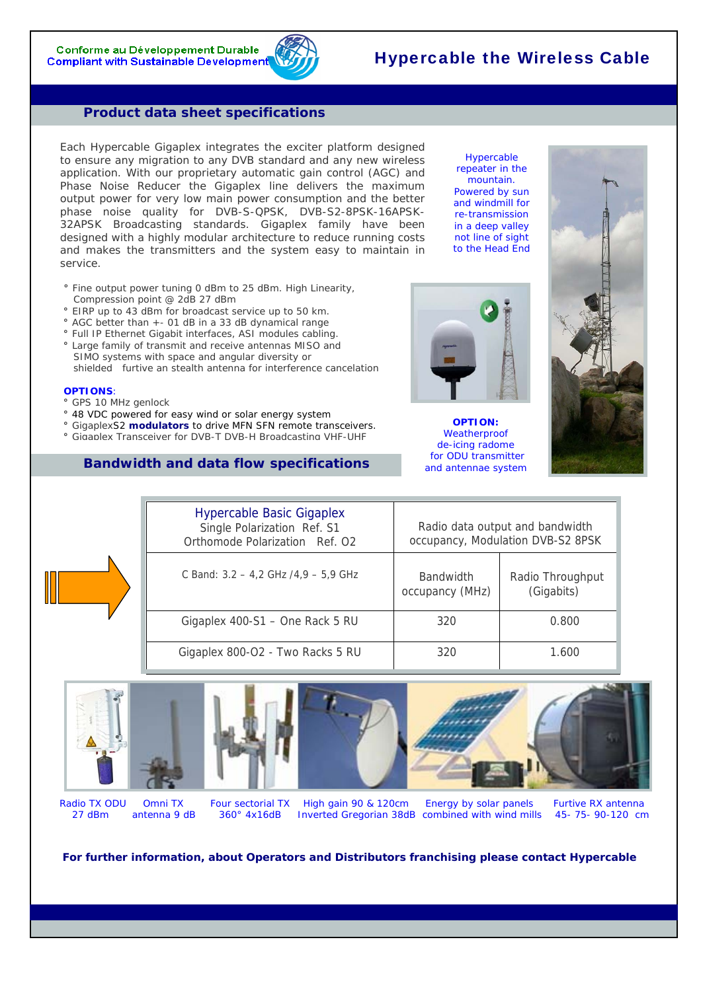Conforme au Développement Durable **Compliant with Sustainable Development** 

# Hypercable the Wireless Cable

### **Product data sheet specifications**

Each Hypercable Gigaplex integrates the exciter platform designed to ensure any migration to any DVB standard and any new wireless application. With our proprietary automatic gain control (AGC) and Phase Noise Reducer the Gigaplex line delivers the maximum output power for very low main power consumption and the better phase noise quality for DVB-S-QPSK, DVB-S2-8PSK-16APSK-32APSK Broadcasting standards. Gigaplex family have been designed with a highly modular architecture to reduce running costs and makes the transmitters and the system easy to maintain in service.

- **°** Fine output power tuning 0 dBm to 25 dBm. High Linearity, Compression point @ 2dB 27 dBm
- **°** EIRP up to 43 dBm for broadcast service up to 50 km.
- **°** AGC better than +- 01 dB in a 33 dB dynamical range
- **°** Full IP Ethernet Gigabit interfaces, ASI modules cabling.
- **°** Large family of transmit and receive antennas MISO and SIMO systems with space and angular diversity or
- shielded furtive an stealth antenna for interference cancelation

#### **OPTIONS**:

- **°** GPS 10 MHz genlock
- **°** 48 VDC powered for easy wind or solar energy system
- **°** GigaplexS2 **modulators** to drive MFN SFN remote transceivers.
- **°** Gigaplex Transceiver for DVB-T DVB-H Broadcasting VHF-UHF

# **Bandwidth and data flow specifications**

Hypercable repeater in the mountain. Powered by sun and windmill for re-transmission in a deep valley not line of sight to the Head End

**OPTION:**  *Weatherproof de-icing radome for ODU transmitter and antennae system* 













Radio TX ODU Omni TX Four sectorial TX High gain 90 & 120cm Energy by solar panels Furtive RX antenna 27 dBm antenna 9 dB 360° 4x16dB Inverted Gregorian 38dB combined with wind mills 45- 75- 90-120 cm

**For further information, about Operators and Distributors franchising please contact** *Hypercable*

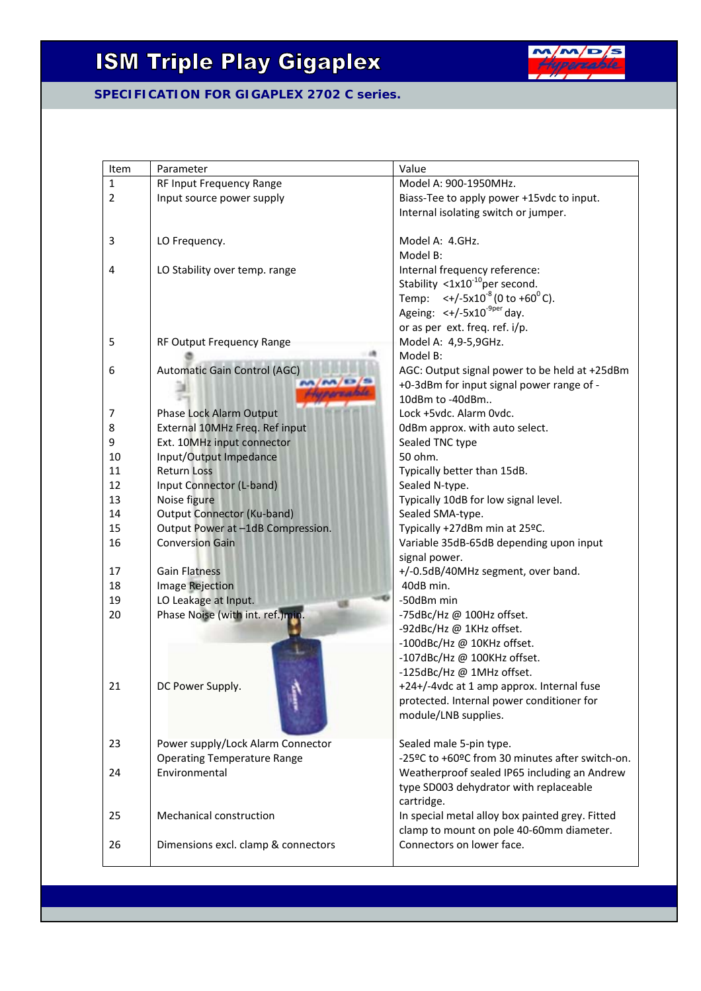# **ISM Triple Play Gigaplex**



# **SPECIFICATION FOR GIGAPLEX 2702 C series.**

| Item           | Parameter                                           | Value                                                                      |
|----------------|-----------------------------------------------------|----------------------------------------------------------------------------|
| $\mathbf{1}$   | RF Input Frequency Range                            | Model A: 900-1950MHz.                                                      |
| $\overline{2}$ | Input source power supply                           | Biass-Tee to apply power +15vdc to input.                                  |
|                |                                                     | Internal isolating switch or jumper.                                       |
| 3              | LO Frequency.                                       | Model A: 4.GHz.                                                            |
|                |                                                     | Model B:                                                                   |
| 4              | LO Stability over temp. range                       | Internal frequency reference:                                              |
|                |                                                     | Stability $< 1 \times 10^{-10}$ per second.                                |
|                |                                                     | $\leftarrow$ /-5x10 <sup>-8</sup> (0 to +60 <sup>0</sup> C).<br>Temp:      |
|                |                                                     | Ageing: $\lt$ +/-5x10 <sup>-9per</sup> day.                                |
|                |                                                     | or as per ext. freq. ref. i/p.                                             |
| 5              | RF Output Frequency Range                           | Model A: 4,9-5,9GHz.                                                       |
|                |                                                     | Model B:                                                                   |
| 6              | Automatic Gain Control (AGC)                        | AGC: Output signal power to be held at +25dBm                              |
|                |                                                     | +0-3dBm for input signal power range of -                                  |
|                |                                                     | 10dBm to -40dBm                                                            |
| 7              | Phase Lock Alarm Output                             | Lock +5vdc. Alarm 0vdc.                                                    |
| 8              | External 10MHz Freq. Ref input                      | OdBm approx. with auto select.                                             |
| 9              | Ext. 10MHz input connector                          | Sealed TNC type                                                            |
| 10             | Input/Output Impedance                              | 50 ohm.                                                                    |
| 11             | <b>Return Loss</b>                                  | Typically better than 15dB.                                                |
| 12             | Input Connector (L-band)                            | Sealed N-type.                                                             |
| 13             | Noise figure                                        | Typically 10dB for low signal level.                                       |
| 14             | <b>Output Connector (Ku-band)</b>                   | Sealed SMA-type.                                                           |
| 15             | Output Power at -1dB Compression.                   | Typically +27dBm min at 25°C.                                              |
| 16             | <b>Conversion Gain</b>                              | Variable 35dB-65dB depending upon input                                    |
|                |                                                     | signal power.                                                              |
| 17             | <b>Gain Flatness</b>                                | +/-0.5dB/40MHz segment, over band.                                         |
| 18             | Image Rejection                                     | 40dB min.                                                                  |
| 19             | LO Leakage at Input.                                | -50dBm min                                                                 |
| 20             | Phase Noise (with int. ref.)min.                    | -75dBc/Hz @ 100Hz offset.                                                  |
|                |                                                     | -92dBc/Hz @ 1KHz offset.                                                   |
|                |                                                     | -100dBc/Hz @ 10KHz offset.                                                 |
|                |                                                     | -107dBc/Hz @ 100KHz offset.                                                |
|                |                                                     | -125dBc/Hz @ 1MHz offset.                                                  |
| 21             | DC Power Supply.                                    | +24+/-4vdc at 1 amp approx. Internal fuse                                  |
|                |                                                     | protected. Internal power conditioner for                                  |
|                |                                                     | module/LNB supplies.                                                       |
| 23             |                                                     |                                                                            |
|                | Power supply/Lock Alarm Connector                   | Sealed male 5-pin type.<br>-25ºC to +60ºC from 30 minutes after switch-on. |
|                | <b>Operating Temperature Range</b><br>Environmental |                                                                            |
| 24             |                                                     | Weatherproof sealed IP65 including an Andrew                               |
|                |                                                     | type SD003 dehydrator with replaceable                                     |
|                |                                                     | cartridge.                                                                 |
| 25             | Mechanical construction                             | In special metal alloy box painted grey. Fitted                            |
|                |                                                     | clamp to mount on pole 40-60mm diameter.                                   |
| 26             | Dimensions excl. clamp & connectors                 | Connectors on lower face.                                                  |
|                |                                                     |                                                                            |